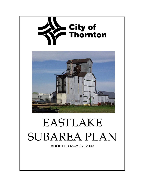

# EASTLAKE SUBAREA PLAN

ADOPTED MAY 27, 2003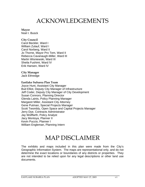## ACKNOWLEDGEMENTS

#### **Mayor**  Noel I. Busck

#### **City Council**

Carol Beckler, Ward I William Zulauf, Ward I Carol Norberg, Ward II Jo Thorne, Mayor Pro Tem, Ward II Rebecca Cavanaugh-Miller, Ward III Martin Wisniewski, Ward III Sheila Fushimi, Ward IV Erik Hansen, Ward IV

#### **City Manager**

Jack Ethredge

#### **Eastlake Subarea Plan Team**

Joyce Hunt, Assistant City Manager Bud Elliot, Deputy City Manager of Infrastructure Jeff Coder, Deputy City Manager of City Development Susan Connors, Planning Director Glenda Lainis, Policy Planning Manager Margaret Miller, Assistant City Attorney Gene Putman, Special Projects Manager Scott Twombly, Open Space and Capital Projects Manager Jerry Dye, Contracts Administrator Jay Wolffarth, Policy Analyst Jacy Montoya, Planner II Kevin Puccio, Planner I William Engleman, Planning Intern

## MAP DISCLAIMER

The exhibits and maps included in this plan were made from the City's Geographic Information System. The maps are representational only, and do not determine the exact locations or boundaries of any districts or properties. They are not intended to be relied upon for any legal descriptions or other land use documents.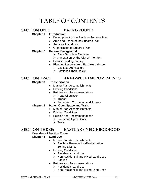# TABLE OF CONTENTS

### **SECTION ONE: BACKGROUND**

#### **Chapter 1 Introduction**

- Development of the Eastlake Subarea Plan
- Area and Scope of the Subarea Plan
- Subarea Plan Goals
- Organization of Subarea Plan

#### **Chapter 2 Historic Background**

- $\triangleright$  Early Growth in Eastlake
- $\triangleright$  Annexation by the City of Thornton
- Historic Building Survey
- Planning Lessons from Eastlake's History
	- $\triangleright$  Eastlake Architecture
	- $\triangleright$  Eastlake Urban Design

#### **SECTION TWO: AREA-WIDE IMPROVEMENTS**

#### **Chapter 3 Transportation**

- Master Plan Accomplishments
- Existing Conditions
- Policies and Recommendations
	- $\triangleright$  Road Circulation
	- $\triangleright$  Transit
	- ¾ Pedestrian Circulation and Access

#### **Chapter 4 Parks, Open Space and Trails**

- Master Plan Accomplishments
- Existing Conditions
- Policies and Recommendations
	- $\triangleright$  Parks and Open Space
	- $\triangleright$  Trails

#### **SECTION THREE: EASTLAKE NEIGHBORHOOD**

#### **Overview of Section Three**

#### **Chapter 5 Land Use**

- Master Plan Accomplishments
	- ¾ Eastlake Preservation/Revitalization Zoning District
- Existing Conditions
	- ¾ Residential Land Use
	- ¾ Non-Residential and Mixed Land Uses
	- $\triangleright$  Parking
- Policies and Recommendations
	- $\triangleright$  Residential Land Use
	- ¾ Non-Residential and Mixed Land Uses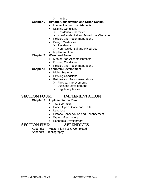$\triangleright$  Parking

#### **Chapter 6 Historic Conservation and Urban Design**

- Master Plan Accomplishments
- Existing Conditions
	- $\triangleright$  Residential Character
	- ¾ Non-Residential and Mixed Use Character
- Policies and Recommendations
- Design Guidelines
	- $\triangleright$  Residential
	- ¾ Non-Residential and Mixed Use
- Implementation

#### **Chapter 7 Water and Sewer**

- Master Plan Accomplishments
- Existing Conditions
- Policies and Recommendations

#### **Chapter 8 Economic Development**

- Niche Strategy
- Existing Conditions
- Policies and Recommendations
	- $\triangleright$  Physical Improvements
	- ¾ Business Development
	- $\triangleright$  Regulatory Issues

#### **SECTION FOUR: IMPLEMENTATION**

#### **Chapter 9 Implementation Plan**

- Transportation
- Parks, Open Space and Trails
- Land Use
- Historic Conservation and Enhancement
- Water Infrastructure
- Economic Development

#### **SECTION FIVE: APPENDICES**

Appendix A: Master Plan Tasks Completed Appendix B: Bibliography